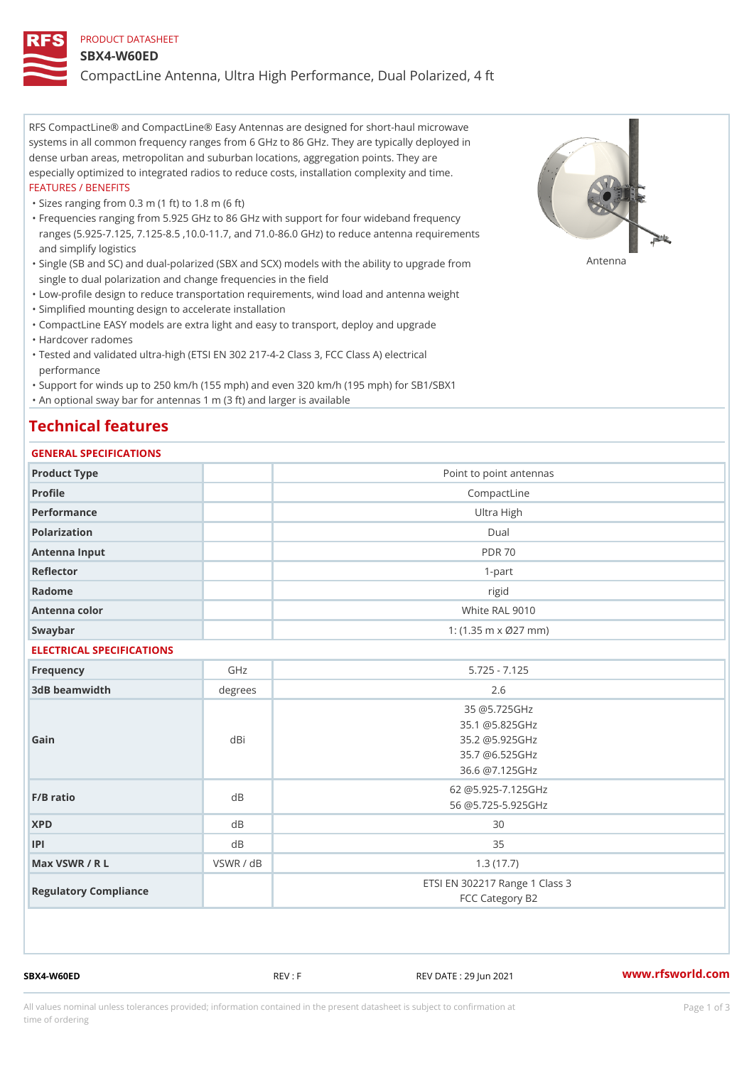#### PRODUCT DATASHEET

#### SBX4-W60ED

CompactLine Antenna, Ultra High Performance, Dual Polarized, 4 ft

RFS CompactLine® and CompactLine® Easy Antennas are designed for short-haul microwave systems in all common frequency ranges from 6 GHz to 86 GHz. They are typically deployed in dense urban areas, metropolitan and suburban locations, aggregation points. They are especially optimized to integrated radios to reduce costs, installation complexity and time. FEATURES / BENEFITS

"Sizes ranging from 0.3 m (1 ft) to 1.8 m (6 ft)

Frequencies ranging from 5.925 GHz to 86 GHz with support for four wideband frequency " ranges (5.925-7.125, 7.125-8.5 ,10.0-11.7, and 71.0-86.0 GHz) to reduce antenna requirements and simplify logistics

"Single (SB and SC) and dual-polarized (SBX and SCX) models with the abili $\mathsf{f} \gamma^{\mathsf{n}} \mathsf{t} \mathsf{B}^{\mathsf{n}} \mathsf{u} \mathsf{p} \mathsf{B}$ grade from single to dual polarization and change frequencies in the field

"Low-profile design to reduce transportation requirements, wind load and antenna weight

"Simplified mounting design to accelerate installation

 "CompactLine EASY models are extra light and easy to transport, deploy and upgrade "Hardcover radomes

Tested and validated ultra-high (ETSI EN 302 217-4-2 Class 3, FCC Class A) electrical " performance

 "Support for winds up to 250 km/h (155 mph) and even 320 km/h (195 mph) for SB1/SBX1 "An optional sway bar for antennas 1 m (3 ft) and larger is available

# Technical features

### GENERAL SPECIFICATIONS

| GENERAL SELGIFICATIONS    |           |                                |
|---------------------------|-----------|--------------------------------|
| Product Type              |           | Point to point antennas        |
| Profile                   |           | CompactLine                    |
| Performance               |           | Ultra High                     |
| Polarization              |           | D <sub>u</sub> al              |
| Antenna Input             |           | <b>PDR 70</b>                  |
| Reflector                 |           | $1-part$                       |
| Radome                    |           | rigid                          |
| Antenna color             |           | White RAL 9010                 |
| Swaybar                   |           | 1: $(1.35 m \times 027 mm)$    |
| ELECTRICAL SPECIFICATIONS |           |                                |
| Frequency                 | GHz       | $5.725 - 7.125$                |
| 3dB beamwidth             | degree:   | 2.6                            |
| Gain                      | dBi       | 35 @5.725GHz                   |
|                           |           | 35.1 @5.825GHz                 |
|                           |           | 35.2 @5.925GHz                 |
|                           |           | 35.7 @6.525GHz                 |
|                           |           | 36.6 @7.125GHz                 |
| $F/B$ ratio               | $d$ B     | 62 @5.925-7.125GHz             |
|                           |           | 56 @5.725-5.925GHz             |
| <b>XPD</b>                | $d$ B     | 30                             |
| P                         | d B       | 35                             |
| Max VSWR / R L            | VSWR / dB | 1.3(17.7)                      |
| Regulatory Compliance     |           | ETSI EN 302217 Range 1 Class 3 |
|                           |           | FCC Category B2                |

SBX4-W60ED REV : F REV DATE : 29 Jun 2021 [www.](https://www.rfsworld.com)rfsworld.com

All values nominal unless tolerances provided; information contained in the present datasheet is subject to Pcapgeign mation time of ordering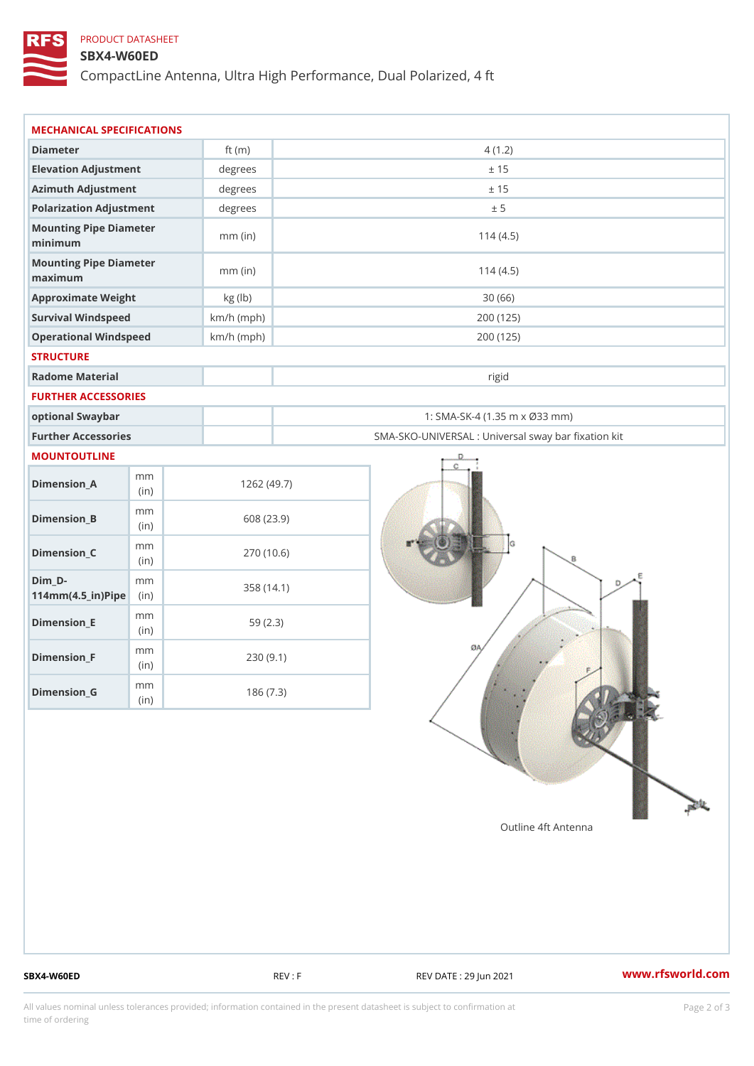## PRODUCT DATASHEET

### SBX4-W60ED

CompactLine Antenna, Ultra High Performance, Dual Polarized, 4 ft

| MECHANICAL SPECIFICATIONS                           |              |              |                                                   |  |
|-----------------------------------------------------|--------------|--------------|---------------------------------------------------|--|
| Diameter                                            |              | ft $(m)$     | 4(1.2)                                            |  |
| Elevation Adjustment                                |              | degrees      | ± 15                                              |  |
| Azimuth Adjustment                                  |              | degrees      | ± 15                                              |  |
| Polarization Adjustment                             |              | degrees      | ± 5                                               |  |
| Mounting Pipe Diameter<br>minimum                   |              | $mm$ (in)    | 114(4.5)                                          |  |
| Mounting Pipe Diameter<br>maximum                   |              | $mm$ (in)    | 114(4.5)                                          |  |
| Approximate Weight                                  |              | kg (lb)      | 30(66)                                            |  |
| Survival Windspeed                                  |              | $km/h$ (mph) | 200 (125)                                         |  |
| Operational Windspeed                               |              | $km/h$ (mph) | 200 (125)                                         |  |
| <b>STRUCTURE</b>                                    |              |              |                                                   |  |
| Radome Material                                     |              |              | rigid                                             |  |
| FURTHER ACCESSORIES                                 |              |              |                                                   |  |
| optional Swaybar                                    |              |              | 1: SMA-SK-4 (1.35 m x Ø33 mm)                     |  |
| Further Accessories                                 |              |              | SMA-SKO-UNIVERSAL : Universal sway bar fixation l |  |
| MOUNTOUTLINE                                        |              |              |                                                   |  |
| $Dimension_A$                                       | m m<br>(in)  |              | 1262(49.7)                                        |  |
| $Dimension_B$                                       | m m<br>(i n) |              | 608 (23.9)                                        |  |
| $Dimension_C$                                       | m m<br>(i n) |              | 270 (10.6)                                        |  |
| $Dim_D -$<br>$114$ m m $(4.5$ _ ir $)$ $R$ ii p $e$ | m m          |              | 358 (14.1)                                        |  |
| $Dimension$ = E                                     | m m<br>(in)  |              | 59(2.3)                                           |  |
| $Dimension_F$                                       | m m<br>(in)  |              | 230(9.1)                                          |  |
| $Diminension_G$                                     | m m<br>(in)  |              | 186(7.3)                                          |  |

SBX4-W60ED REV : F REV : REV DATE : 29 Jun 2021 WWW.rfsworld.com

All values nominal unless tolerances provided; information contained in the present datasheet is subject to Pcapgelio an atio time of ordering